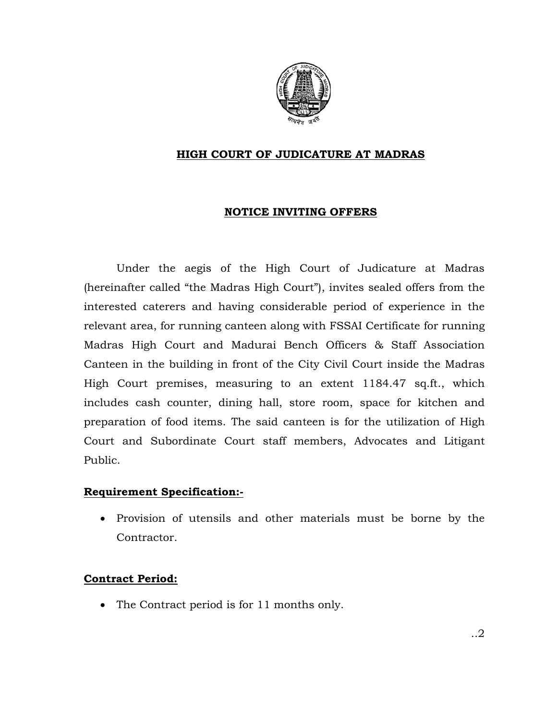

# **HIGH COURT OF JUDICATURE AT MADRAS**

### **NOTICE INVITING OFFERS**

Under the aegis of the High Court of Judicature at Madras (hereinafter called "the Madras High Court"), invites sealed offers from the interested caterers and having considerable period of experience in the relevant area, for running canteen along with FSSAI Certificate for running Madras High Court and Madurai Bench Officers & Staff Association Canteen in the building in front of the City Civil Court inside the Madras High Court premises, measuring to an extent 1184.47 sq.ft., which includes cash counter, dining hall, store room, space for kitchen and preparation of food items. The said canteen is for the utilization of High Court and Subordinate Court staff members, Advocates and Litigant Public.

# **Requirement Specification:-**

• Provision of utensils and other materials must be borne by the Contractor.

## **Contract Period:**

• The Contract period is for 11 months only.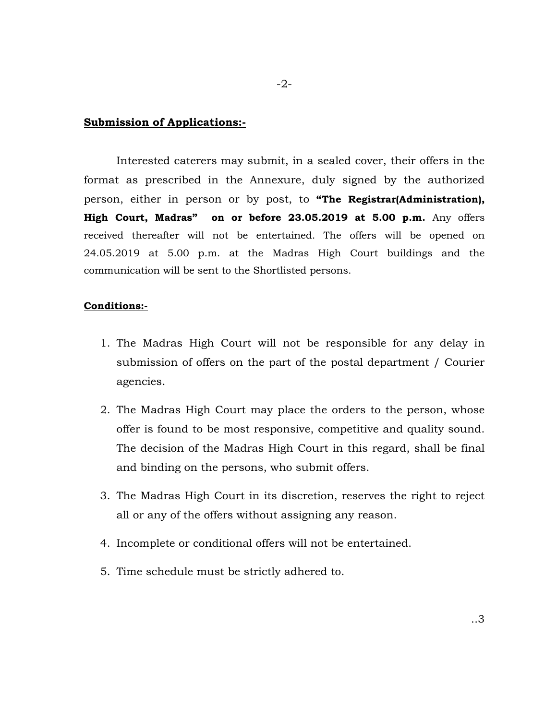#### **Submission of Applications:-**

Interested caterers may submit, in a sealed cover, their offers in the format as prescribed in the Annexure, duly signed by the authorized person, either in person or by post, to **"The Registrar(Administration), High Court, Madras" on or before 23.05.2019 at 5.00 p.m.** Any offers received thereafter will not be entertained. The offers will be opened on 24.05.2019 at 5.00 p.m. at the Madras High Court buildings and the communication will be sent to the Shortlisted persons.

#### **Conditions:-**

- 1. The Madras High Court will not be responsible for any delay in submission of offers on the part of the postal department / Courier agencies.
- 2. The Madras High Court may place the orders to the person, whose offer is found to be most responsive, competitive and quality sound. The decision of the Madras High Court in this regard, shall be final and binding on the persons, who submit offers.
- 3. The Madras High Court in its discretion, reserves the right to reject all or any of the offers without assigning any reason.
- 4. Incomplete or conditional offers will not be entertained.
- 5. Time schedule must be strictly adhered to.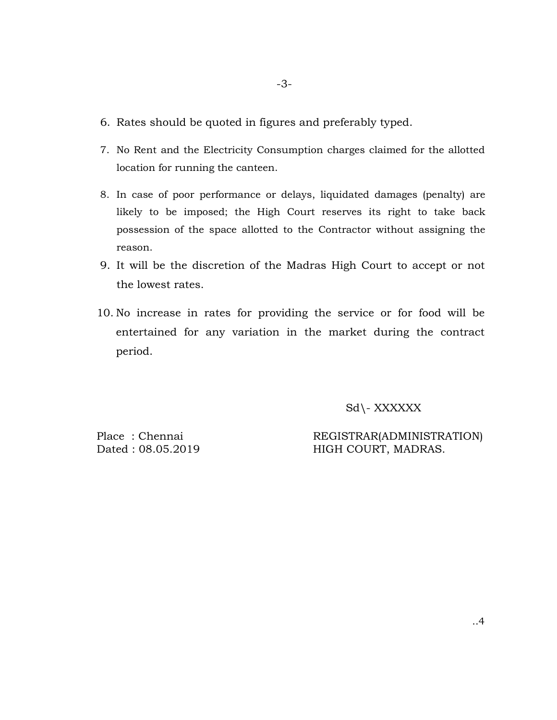- 6. Rates should be quoted in figures and preferably typed.
- 7. No Rent and the Electricity Consumption charges claimed for the allotted location for running the canteen.
- 8. In case of poor performance or delays, liquidated damages (penalty) are likely to be imposed; the High Court reserves its right to take back possession of the space allotted to the Contractor without assigning the reason.
- 9. It will be the discretion of the Madras High Court to accept or not the lowest rates.
- 10. No increase in rates for providing the service or for food will be entertained for any variation in the market during the contract period.

Sd\- XXXXXX

Place : Chennai REGISTRAR(ADMINISTRATION) Dated : 08.05.2019 HIGH COURT, MADRAS.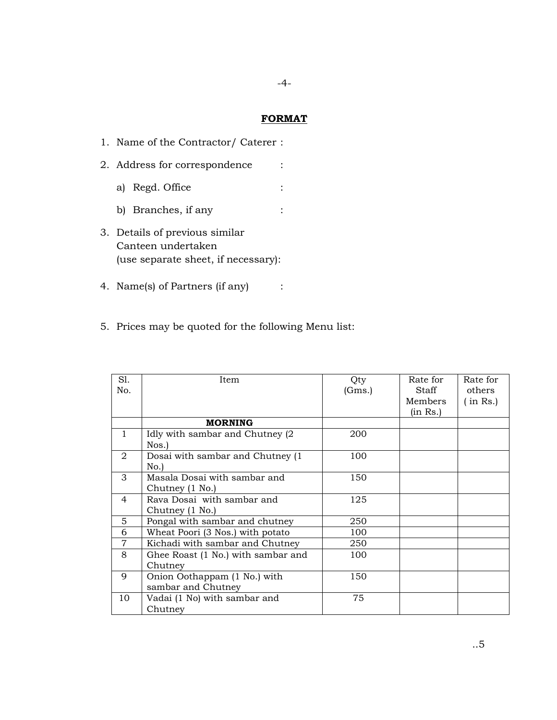#### **FORMAT**

- 1. Name of the Contractor/ Caterer : 2. Address for correspondence : a) Regd. Office : b) Branches, if any : 3. Details of previous similar Canteen undertaken (use separate sheet, if necessary):
- 4. Name(s) of Partners (if any) :
- 5. Prices may be quoted for the following Menu list:

| Sl.            | Item                               | Qty    | Rate for | Rate for |
|----------------|------------------------------------|--------|----------|----------|
| No.            |                                    | (Gms.) | Staff    | others   |
|                |                                    |        | Members  | (in Rs.) |
|                |                                    |        | (in Rs.) |          |
|                | <b>MORNING</b>                     |        |          |          |
| $\mathbf{1}$   | Idly with sambar and Chutney (2)   | 200    |          |          |
|                | Nos.)                              |        |          |          |
| 2              | Dosai with sambar and Chutney (1)  | 100    |          |          |
|                | No.                                |        |          |          |
| 3              | Masala Dosai with sambar and       | 150    |          |          |
|                | Chutney (1 No.)                    |        |          |          |
| $\overline{4}$ | Rava Dosai with sambar and         | 125    |          |          |
|                | Chutney (1 No.)                    |        |          |          |
| 5              | Pongal with sambar and chutney     | 250    |          |          |
| 6              | Wheat Poori (3 Nos.) with potato   | 100    |          |          |
| $\overline{7}$ | Kichadi with sambar and Chutney    | 250    |          |          |
| 8              | Ghee Roast (1 No.) with sambar and | 100    |          |          |
|                | Chutney                            |        |          |          |
| 9              | Onion Oothappam (1 No.) with       | 150    |          |          |
|                | sambar and Chutney                 |        |          |          |
| 10             | Vadai (1 No) with sambar and       | 75     |          |          |
|                | Chutney                            |        |          |          |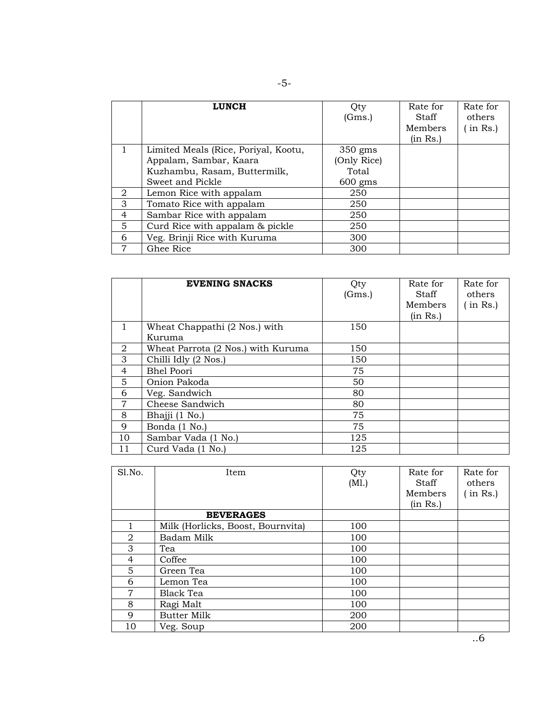|                | <b>LUNCH</b>                         | Oty<br>(Gms.)     | Rate for<br>Staff<br>Members<br>(in Rs.) | Rate for<br>others<br>in $Rs.$ ) |
|----------------|--------------------------------------|-------------------|------------------------------------------|----------------------------------|
| 1              | Limited Meals (Rice, Poriyal, Kootu, | $350 \text{ gms}$ |                                          |                                  |
|                | Appalam, Sambar, Kaara               | (Only Rice)       |                                          |                                  |
|                | Kuzhambu, Rasam, Buttermilk,         | Total             |                                          |                                  |
|                | Sweet and Pickle                     | $600 \text{ gms}$ |                                          |                                  |
| 2              | Lemon Rice with appalam              | 250               |                                          |                                  |
| 3              | Tomato Rice with appalam             | 250               |                                          |                                  |
| $\overline{4}$ | Sambar Rice with appalam             | 250               |                                          |                                  |
| 5              | Curd Rice with appalam & pickle      | 250               |                                          |                                  |
| 6              | Veg. Brinji Rice with Kuruma         | 300               |                                          |                                  |
|                | Ghee Rice                            | 300               |                                          |                                  |

|                | <b>EVENING SNACKS</b>              | Qty    | Rate for | Rate for |
|----------------|------------------------------------|--------|----------|----------|
|                |                                    | (Gms.) | Staff    | others   |
|                |                                    |        | Members  | (in Rs.) |
|                |                                    |        | (in Rs.) |          |
| $\mathbf{1}$   | Wheat Chappathi (2 Nos.) with      | 150    |          |          |
|                | Kuruma                             |        |          |          |
| 2              | Wheat Parrota (2 Nos.) with Kuruma | 150    |          |          |
| 3              | Chilli Idly (2 Nos.)               | 150    |          |          |
| 4              | Bhel Poori                         | 75     |          |          |
| 5              | Onion Pakoda                       | 50     |          |          |
| 6              | Veg. Sandwich                      | 80     |          |          |
| $\overline{7}$ | Cheese Sandwich                    | 80     |          |          |
| 8              | Bhajji (1 No.)                     | 75     |          |          |
| 9              | Bonda (1 No.)                      | 75     |          |          |
| 10             | Sambar Vada (1 No.)                | 125    |          |          |
| 11             | Curd Vada (1 No.)                  | 125    |          |          |

| Sl.No. | Item                              | Qty<br>(M1.) | Rate for<br>Staff<br>Members<br>(in Rs.) | Rate for<br>others<br>(in Rs.) |
|--------|-----------------------------------|--------------|------------------------------------------|--------------------------------|
|        | <b>BEVERAGES</b>                  |              |                                          |                                |
|        | Milk (Horlicks, Boost, Bournvita) | 100          |                                          |                                |
| 2      | Badam Milk                        | 100          |                                          |                                |
| 3      | Tea                               | 100          |                                          |                                |
| 4      | Coffee                            | 100          |                                          |                                |
| 5      | Green Tea                         | 100          |                                          |                                |
| 6      | Lemon Tea                         | 100          |                                          |                                |
| 7      | <b>Black Tea</b>                  | 100          |                                          |                                |
| 8      | Ragi Malt                         | 100          |                                          |                                |
| 9      | <b>Butter Milk</b>                | 200          |                                          |                                |
| 10     | Veg. Soup                         | 200          |                                          |                                |

..6